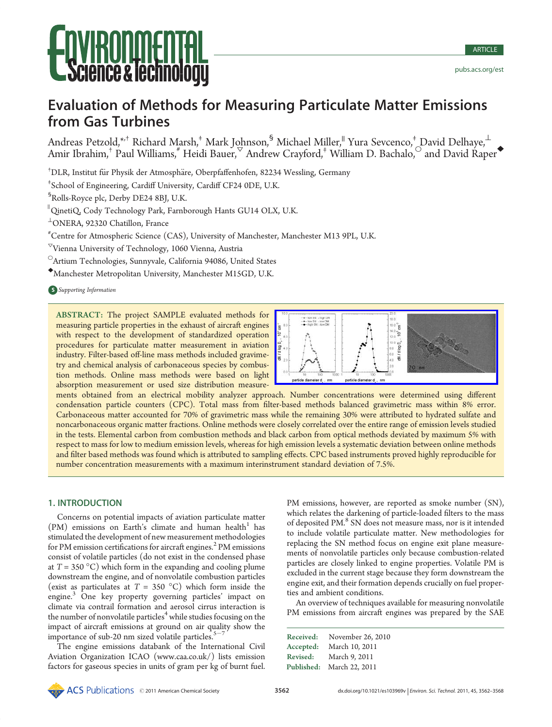# Evaluation of Methods for Measuring Particulate Matter Emissions from Gas Turbines

Andreas Petzold,\*<sup>+</sup> Richard Marsh,<sup>‡</sup> Mark Johnson,<sup>§</sup> Michael Miller,<sup>||</sup> Yura Sevcenco,<sup>‡</sup> David Delhaye,<sup>⊥</sup> Amir Ibrahim,<sup>†</sup> Paul Williams,<sup>#</sup> Heidi Bauer,<sup> $\triangledown$ </sup> Andrew Crayford,<sup>‡</sup> William D. Bachalo,<sup>○</sup> and David Raper

<sup>†</sup>DLR, Institut für Physik der Atmosphäre, Oberpfaffenhofen, 82234 Wessling, Germany

‡ School of Engineering, Cardiff University, Cardiff CF24 0DE, U.K.

§ Rolls-Royce plc, Derby DE24 8BJ, U.K.

 $^{\shortparallel}$ QinetiQ, Cody Technology Park, Farnborough Hants GU14 OLX, U.K.

 $^{\perp}$ ONERA, 92320 Chatillon, France

# Centre for Atmospheric Science (CAS), University of Manchester, Manchester M13 9PL, U.K.

 $\mathrm{v_{V}}$ ienna University of Technology, 1060 Vienna, Austria

 $\textcircled{\textsc{}}$ Artium Technologies, Sunnyvale, California 94086, United States

[Manchester Metropolitan University, Manchester M15GD, U.K.

**S** Supporting Information

ABSTRACT: The project SAMPLE evaluated methods for measuring particle properties in the exhaust of aircraft engines with respect to the development of standardized operation procedures for particulate matter measurement in aviation industry. Filter-based off-line mass methods included gravimetry and chemical analysis of carbonaceous species by combustion methods. Online mass methods were based on light absorption measurement or used size distribution measure-



**EXAMPLE Chemical Society 3562** distance and Markov and Markov and Markov and Markov and Markov and Markov and Markov and Markov and Markov and Markov and Markov and Markov and Markov and Markov and Markov and Markov and ments obtained from an electrical mobility analyzer approach. Number concentrations were determined using different condensation particle counters (CPC). Total mass from filter-based methods balanced gravimetric mass within 8% error. Carbonaceous matter accounted for 70% of gravimetric mass while the remaining 30% were attributed to hydrated sulfate and noncarbonaceous organic matter fractions. Online methods were closely correlated over the entire range of emission levels studied in the tests. Elemental carbon from combustion methods and black carbon from optical methods deviated by maximum 5% with respect to mass for low to medium emission levels, whereas for high emission levels a systematic deviation between online methods and filter based methods was found which is attributed to sampling effects. CPC based instruments proved highly reproducible for number concentration measurements with a maximum interinstrument standard deviation of 7.5%.

# 1. INTRODUCTION

Concerns on potential impacts of aviation particulate matter  $(PM)$  emissions on Earth's climate and human health<sup>1</sup> has stimulated the development of new measurement methodologies for PM emission certifications for aircraft engines.<sup>2</sup> PM emissions consist of volatile particles (do not exist in the condensed phase at  $T = 350 \degree C$ ) which form in the expanding and cooling plume downstream the engine, and of nonvolatile combustion particles (exist as particulates at  $T = 350 \text{ °C}$ ) which form inside the engine.<sup>3</sup> One key property governing particles' impact on climate via contrail formation and aerosol cirrus interaction is the number of nonvolatile particles<sup>4</sup> while studies focusing on the impact of aircraft emissions at ground on air quality show the importance of sub-20 nm sized volatile particles.<sup>5</sup>

The engine emissions databank of the International Civil Aviation Organization ICAO (www.caa.co.uk/) lists emission factors for gaseous species in units of gram per kg of burnt fuel. PM emissions, however, are reported as smoke number (SN), which relates the darkening of particle-loaded filters to the mass of deposited PM.<sup>8</sup> SN does not measure mass, nor is it intended to include volatile particulate matter. New methodologies for replacing the SN method focus on engine exit plane measurements of nonvolatile particles only because combustion-related particles are closely linked to engine properties. Volatile PM is excluded in the current stage because they form downstream the engine exit, and their formation depends crucially on fuel properties and ambient conditions.

An overview of techniques available for measuring nonvolatile PM emissions from aircraft engines was prepared by the SAE

| Received: | November 26, 2010         |
|-----------|---------------------------|
| Accepted: | March 10, 2011            |
| Revised:  | March 9, 2011             |
|           | Published: March 22, 2011 |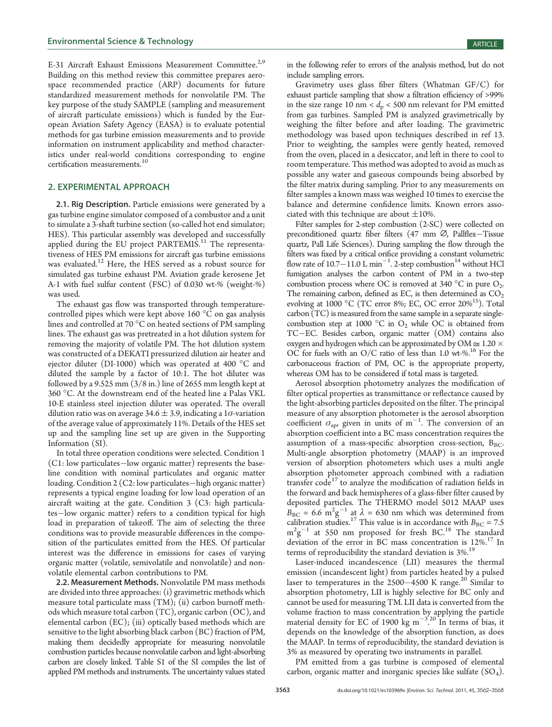E-31 Aircraft Exhaust Emissions Measurement Committee.<sup>2,9</sup> Building on this method review this committee prepares aerospace recommended practice (ARP) documents for future standardized measurement methods for nonvolatile PM. The key purpose of the study SAMPLE (sampling and measurement of aircraft particulate emissions) which is funded by the European Aviation Safety Agency (EASA) is to evaluate potential methods for gas turbine emission measurements and to provide information on instrument applicability and method characteristics under real-world conditions corresponding to engine certification measurements.<sup>10</sup>

# 2. EXPERIMENTAL APPROACH

2.1. Rig Description. Particle emissions were generated by a gas turbine engine simulator composed of a combustor and a unit to simulate a 3-shaft turbine section (so-called hot end simulator; HES). This particular assembly was developed and successfully applied during the EU project PARTEMIS.<sup>11</sup> The representativeness of HES PM emissions for aircraft gas turbine emissions was evaluated.<sup>12</sup> Here, the HES served as a robust source for simulated gas turbine exhaust PM. Aviation grade kerosene Jet A-1 with fuel sulfur content (FSC) of 0.030 wt-% (weight-%) was used.

The exhaust gas flow was transported through temperaturecontrolled pipes which were kept above  $160 °C$  on gas analysis lines and controlled at 70  $^{\circ}$ C on heated sections of PM sampling lines. The exhaust gas was pretreated in a hot dilution system for removing the majority of volatile PM. The hot dilution system was constructed of a DEKATI pressurized dilution air heater and ejector diluter (DI-1000) which was operated at 400 °C and diluted the sample by a factor of 10:1. The hot diluter was followed by a 9.525 mm (3/8 in.) line of 2655 mm length kept at 360 °C. At the downstream end of the heated line a Palas VKL 10-E stainless steel injection diluter was operated. The overall dilution ratio was on average 34.6  $\pm$  3.9, indicating a 1 $\sigma$ -variation of the average value of approximately 11%. Details of the HES set up and the sampling line set up are given in the Supporting Information (SI).

In total three operation conditions were selected. Condition 1  $(C1: low\, particles—low\, organic\,matter)$  represents the baseline condition with nominal particulates and organic matter loading. Condition 2 (C2: low particulates-high organic matter) represents a typical engine loading for low load operation of an aircraft waiting at the gate. Condition 3 (C3: high particulates-low organic matter) refers to a condition typical for high load in preparation of takeoff. The aim of selecting the three conditions was to provide measurable differences in the composition of the particulates emitted from the HES. Of particular interest was the difference in emissions for cases of varying organic matter (volatile, semivolatile and nonvolatile) and nonvolatile elemental carbon contributions to PM.

2.2. Measurement Methods. Nonvolatile PM mass methods are divided into three approaches: (i) gravimetric methods which measure total particulate mass (TM); (ii) carbon burnoff methods which measure total carbon (TC), organic carbon (OC), and elemental carbon (EC); (iii) optically based methods which are sensitive to the light absorbing black carbon (BC) fraction of PM, making them decidedly appropriate for measuring nonvolatile combustion particles because nonvolatile carbon and light-absorbing carbon are closely linked. Table S1 of the SI compiles the list of applied PM methods and instruments. The uncertainty values stated

in the following refer to errors of the analysis method, but do not include sampling errors.

Gravimetry uses glass fiber filters (Whatman GF/C) for exhaust particle sampling that show a filtration efficiency of >99% in the size range 10 nm <  $d_p$  < 500 nm relevant for PM emitted from gas turbines. Sampled PM is analyzed gravimetrically by weighing the filter before and after loading. The gravimetric methodology was based upon techniques described in ref 13. Prior to weighting, the samples were gently heated, removed from the oven, placed in a desiccator, and left in there to cool to room temperature. This method was adopted to avoid as much as possible any water and gaseous compounds being absorbed by the filter matrix during sampling. Prior to any measurements on filter samples a known mass was weighed 10 times to exercise the balance and determine confidence limits. Known errors associated with this technique are about  $\pm 10\%$ .

Filter samples for 2-step combustion (2-SC) were collected on preconditioned quartz fiber filters (47 mm  $\varnothing$ , Pallflex-Tissue quartz, Pall Life Sciences). During sampling the flow through the filters was fixed by a critical orifice providing a constant volumetric flow rate of  $10.7-11.0$  L min<sup>-1</sup>. 2-step combustion<sup>14</sup> without HCl fumigation analyses the carbon content of PM in a two-step combustion process where OC is removed at 340  $^{\circ}$ C in pure O<sub>2</sub>. The remaining carbon, defined as EC, is then determined as  $CO<sub>2</sub>$ evolving at 1000 °C (TC error 8%; EC, OC error 20%<sup>15</sup>). Total carbon (TC) is measured from the same sample in a separate singlecombustion step at 1000  $^{\circ}$ C in O<sub>2</sub> while OC is obtained from TC-EC. Besides carbon, organic matter (OM) contains also oxygen and hydrogen which can be approximated by  $OM \cong 1.20 \times$ OC for fuels with an O/C ratio of less than 1.0 wt-%.<sup>16</sup> For the carbonaceous fraction of PM, OC is the appropriate property, whereas OM has to be considered if total mass is targeted.

Aerosol absorption photometry analyzes the modification of filter optical properties as transmittance or reflectance caused by the light-absorbing particles deposited on the filter. The principal measure of any absorption photometer is the aerosol absorption coefficient  $\sigma_{\text{ap}}$ , given in units of m<sup>-1</sup>. The conversion of an absorption coefficient into a BC mass concentration requires the assumption of a mass-specific absorption cross-section,  $B_{BC}$ . Multi-angle absorption photometry (MAAP) is an improved version of absorption photometers which uses a multi angle absorption photometer approach combined with a radiation transfer  $\text{code}^{17}$  to analyze the modification of radiation fields in the forward and back hemispheres of a glass-fiber filter caused by deposited particles. The THERMO model 5012 MAAP uses  $B_{\text{BC}} = 6.6 \text{ m}^2 \text{g}^{-1}$  at  $\lambda = 630 \text{ nm}$  which was determined from calibration studies.<sup>17</sup> This value is in accordance with  $B_{BC} = 7.5$  $m^2g^{-1}$  at 550 nm proposed for fresh BC.<sup>18</sup> The standard deviation of the error in BC mass concentration is  $12\%$ .<sup>17</sup> In terms of reproducibility the standard deviation is 3%.<sup>19</sup>

Laser-induced incandescence (LII) measures the thermal emission (incandescent light) from particles heated by a pulsed laser to temperatures in the  $2500-4500$  K range.<sup>20</sup> Similar to absorption photometry, LII is highly selective for BC only and cannot be used for measuring TM. LII data is converted from the volume fraction to mass concentration by applying the particle material density for EC of 1900 kg m<sup> $-3.20$ </sup> In terms of bias, it . depends on the knowledge of the absorption function, as does the MAAP. In terms of reproducibility, the standard deviation is 3% as measured by operating two instruments in parallel.

PM emitted from a gas turbine is composed of elemental carbon, organic matter and inorganic species like sulfate  $(SO<sub>4</sub>)$ .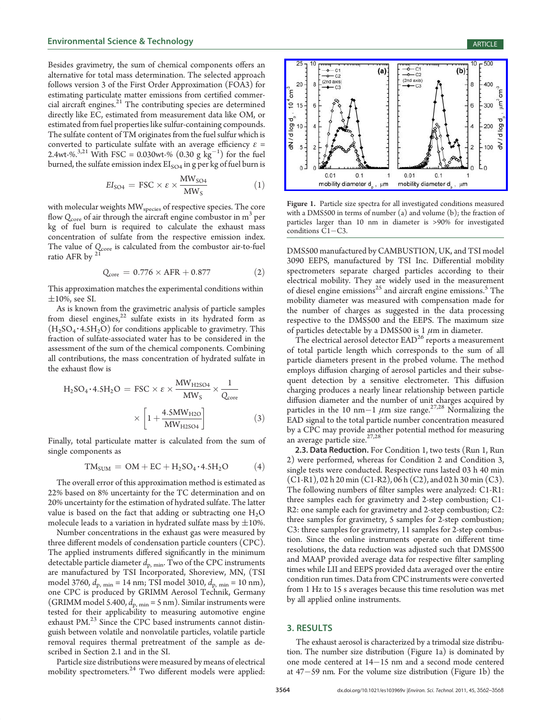Besides gravimetry, the sum of chemical components offers an alternative for total mass determination. The selected approach follows version 3 of the First Order Approximation (FOA3) for estimating particulate matter emissions from certified commercial aircraft engines.<sup>21</sup> The contributing species are determined directly like EC, estimated from measurement data like OM, or estimated from fuel properties like sulfur-containing compounds. The sulfate content of TM originates from the fuel sulfur which is converted to particulate sulfate with an average efficiency  $\varepsilon$  = 2.4wt-%.<sup>3,21</sup> With FSC = 0.030wt-% (0.30 g  $\text{kg}^{-1}$ ) for the fuel burned, the sulfate emission index  $EI<sub>SO4</sub>$  in g per kg of fuel burn is

$$
EI_{SO4} = FSC \times \varepsilon \times \frac{MW_{SO4}}{MW_S}
$$
 (1)

with molecular weights MW<sub>species</sub> of respective species. The core flow  $Q_{\text{core}}$  of air through the aircraft engine combustor in  $m<sup>3</sup>$  per kg of fuel burn is required to calculate the exhaust mass concentration of sulfate from the respective emission index. The value of  $Q_{\text{core}}$  is calculated from the combustor air-to-fuel ratio AFR by <sup>21</sup>

$$
Q_{core} = 0.776 \times AFR + 0.877 \tag{2}
$$

This approximation matches the experimental conditions within  $\pm 10$ %, see SI.

As is known from the gravimetric analysis of particle samples from diesel engines,<sup>22</sup> sulfate exists in its hydrated form as  $(H<sub>2</sub>SO<sub>4</sub>·4.5H<sub>2</sub>O)$  for conditions applicable to gravimetry. This fraction of sulfate-associated water has to be considered in the assessment of the sum of the chemical components. Combining all contributions, the mass concentration of hydrated sulfate in the exhaust flow is

$$
H_2SO_4 \cdot 4.5H_2O = FSC \times \varepsilon \times \frac{MW_{H2SO4}}{MW_S} \times \frac{1}{Q_{core}} \times \left[1 + \frac{4.5MW_{H2O}}{MW_{H2SO4}}\right]
$$
(3)

Finally, total particulate matter is calculated from the sum of single components as

$$
TM_{SUM} = OM + EC + H_2SO_4 \cdot 4.5H_2O \tag{4}
$$

The overall error of this approximation method is estimated as 22% based on 8% uncertainty for the TC determination and on 20% uncertainty for the estimation of hydrated sulfate. The latter value is based on the fact that adding or subtracting one  $H_2O$ molecule leads to a variation in hydrated sulfate mass by  $\pm 10\%$ .

Number concentrations in the exhaust gas were measured by three different models of condensation particle counters (CPC). The applied instruments differed significantly in the minimum detectable particle diameter  $d_{p, min}$ . Two of the CPC instruments are manufactured by TSI Incorporated, Shoreview, MN, (TSI model 3760,  $d_{\rm p, min} = 14 \text{ nm}$ ; TSI model 3010,  $d_{\rm p, min} = 10 \text{ nm}$ ), one CPC is produced by GRIMM Aerosol Technik, Germany (GRIMM model 5.400,  $d_{p, min} = 5$  nm). Similar instruments were tested for their applicability to measuring automotive engine exhaust PM.<sup>23</sup> Since the CPC based instruments cannot distinguish between volatile and nonvolatile particles, volatile particle removal requires thermal pretreatment of the sample as described in Section 2.1 and in the SI.

Particle size distributions were measured by means of electrical mobility spectrometers.<sup>24</sup> Two different models were applied:



≳

 $\overline{2}$ 100

 $\overline{0}$ 

t<sub>0</sub>



 $-c2$ 

(2nd axis)

 $20 -$ 8

 $\overline{5}$  $\frac{1}{2}$  15 -

 $dN/d \log d_{_{\scriptscriptstyle D}}$ ,  $10 -$ 

 $5 -$ 

 $_0$ 

 $\Omega$ 

DMS500 manufactured by CAMBUSTION, UK, and TSI model 3090 EEPS, manufactured by TSI Inc. Differential mobility spectrometers separate charged particles according to their electrical mobility. They are widely used in the measurement of diesel engine emissions<sup>25</sup> and aircraft engine emissions.<sup>5</sup> The mobility diameter was measured with compensation made for the number of charges as suggested in the data processing respective to the DMS500 and the EEPS. The maximum size of particles detectable by a DMS500 is 1  $\mu$ m in diameter.

The electrical aerosol detector  $EAD^{26}$  reports a measurement of total particle length which corresponds to the sum of all particle diameters present in the probed volume. The method employs diffusion charging of aerosol particles and their subsequent detection by a sensitive electrometer. This diffusion charging produces a nearly linear relationship between particle diffusion diameter and the number of unit charges acquired by particles in the 10 nm<sup>-1</sup>  $\mu$ m size range.<sup>27,28</sup> Normalizing the EAD signal to the total particle number concentration measured by a CPC may provide another potential method for measuring an average particle size.<sup>27,28</sup>

2.3. Data Reduction. For Condition 1, two tests (Run 1, Run 2) were performed, whereas for Condition 2 and Condition 3, single tests were conducted. Respective runs lasted 03 h 40 min  $(C1-R1)$ , 02 h 20 min  $(C1-R2)$ , 06 h  $(C2)$ , and 02 h 30 min  $(C3)$ . The following numbers of filter samples were analyzed: C1-R1: three samples each for gravimetry and 2-step combustion; C1- R2: one sample each for gravimetry and 2-step combustion; C2: three samples for gravimetry, 5 samples for 2-step combustion; C3: three samples for gravimetry, 11 samples for 2-step combustion. Since the online instruments operate on different time resolutions, the data reduction was adjusted such that DMS500 and MAAP provided average data for respective filter sampling times while LII and EEPS provided data averaged over the entire condition run times. Data from CPC instruments were converted from 1 Hz to 15 s averages because this time resolution was met by all applied online instruments.

# 3. RESULTS

The exhaust aerosol is characterized by a trimodal size distribution. The number size distribution (Figure 1a) is dominated by one mode centered at  $14-15$  nm and a second mode centered at  $47-59$  nm. For the volume size distribution (Figure 1b) the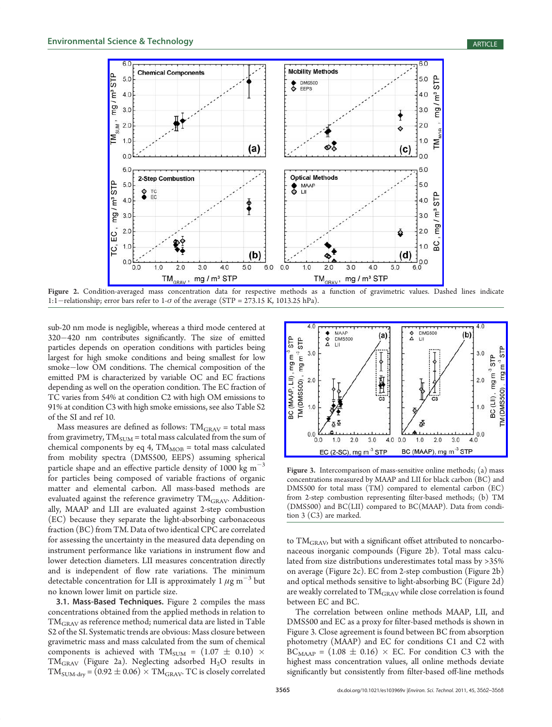

Figure 2. Condition-averaged mass concentration data for respective methods as a function of gravimetric values. Dashed lines indicate 1:1-relationship; error bars refer to 1- $\sigma$  of the average (STP = 273.15 K, 1013.25 hPa).

sub-20 nm mode is negligible, whereas a third mode centered at <sup>320</sup>420 nm contributes significantly. The size of emitted particles depends on operation conditions with particles being largest for high smoke conditions and being smallest for low smoke-low OM conditions. The chemical composition of the emitted PM is characterized by variable OC and EC fractions depending as well on the operation condition. The EC fraction of TC varies from 54% at condition C2 with high OM emissions to 91% at condition C3 with high smoke emissions, see also Table S2 of the SI and ref 10.

Mass measures are defined as follows:  $\rm TM_{GRAV}$  = total mass from gravimetry,  $TM_{SUM} =$  total mass calculated from the sum of chemical components by eq 4,  $TM<sub>MOB</sub> = total mass calculated$ from mobility spectra (DMS500, EEPS) assuming spherical particle shape and an effective particle density of 1000 kg  $m^{-3}$ for particles being composed of variable fractions of organic matter and elemental carbon. All mass-based methods are evaluated against the reference gravimetry TM<sub>GRAV</sub>. Additionally, MAAP and LII are evaluated against 2-step combustion (EC) because they separate the light-absorbing carbonaceous fraction (BC) from TM. Data of two identical CPC are correlated for assessing the uncertainty in the measured data depending on instrument performance like variations in instrument flow and lower detection diameters. LII measures concentration directly and is independent of flow rate variations. The minimum detectable concentration for LII is approximately 1  $\mu$ g m<sup>-3</sup> but no known lower limit on particle size.

3.1. Mass-Based Techniques. Figure 2 compiles the mass concentrations obtained from the applied methods in relation to TMGRAV as reference method; numerical data are listed in Table S2 of the SI. Systematic trends are obvious: Mass closure between gravimetric mass and mass calculated from the sum of chemical components is achieved with TM<sub>SUM</sub> =  $(1.07 \pm 0.10)$  × TM<sub>GRAV</sub> (Figure 2a). Neglecting adsorbed H<sub>2</sub>O results in  $\text{TM}_{\text{SUM-dry}}$  = (0.92  $\pm$  0.06)  $\times$  TM<sub>GRAV</sub>. TC is closely correlated



Figure 3. Intercomparison of mass-sensitive online methods; (a) mass concentrations measured by MAAP and LII for black carbon (BC) and DMS500 for total mass (TM) compared to elemental carbon (EC) from 2-step combustion representing filter-based methods; (b) TM (DMS500) and BC(LII) compared to BC(MAAP). Data from condition 3 (C3) are marked.

to TM<sub>GRAV</sub>, but with a significant offset attributed to noncarbonaceous inorganic compounds (Figure 2b). Total mass calculated from size distributions underestimates total mass by >35% on average (Figure 2c). EC from 2-step combustion (Figure 2b) and optical methods sensitive to light-absorbing BC (Figure 2d) are weakly correlated to TM<sub>GRAV</sub> while close correlation is found between EC and BC.

The correlation between online methods MAAP, LII, and DMS500 and EC as a proxy for filter-based methods is shown in Figure 3. Close agreement is found between BC from absorption photometry (MAAP) and EC for conditions C1 and C2 with  $BC_{MARP} = (1.08 \pm 0.16) \times EC$ . For condition C3 with the highest mass concentration values, all online methods deviate significantly but consistently from filter-based off-line methods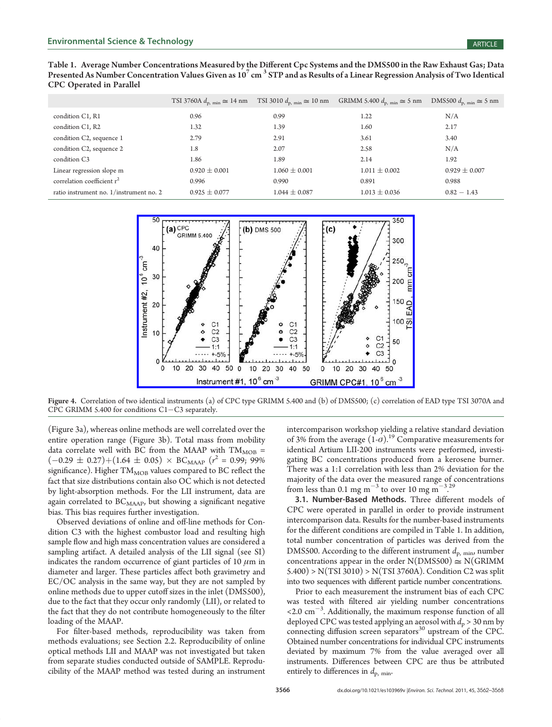Table 1. Average Number Concentrations Measured by the Different Cpc Systems and the DMS500 in the Raw Exhaust Gas; Data Presented As Number Concentration Values Given as  $10^7$  cm<sup>3</sup> STP and as Results of a Linear Regression Analysis of Two Identical CPC Operated in Parallel

|                                         | TSI 3760A $d_{\text{p. min}} \approx 14 \text{ nm}$ | TSI 3010 $d_{\text{p. min}} \approx 10 \text{ nm}$ | GRIMM 5.400 $d_{\text{p. min}} \approx 5 \text{ nm}$ | DMS500 $d_{\text{p. min}} \cong 5 \text{ nm}$ |
|-----------------------------------------|-----------------------------------------------------|----------------------------------------------------|------------------------------------------------------|-----------------------------------------------|
| condition C1, R1                        | 0.96                                                | 0.99                                               | 1.22                                                 | N/A                                           |
| condition C1, R2                        | 1.32                                                | 1.39                                               | 1.60                                                 | 2.17                                          |
| condition C2, sequence 1                | 2.79                                                | 2.91                                               | 3.61                                                 | 3.40                                          |
| condition C2, sequence 2                | 1.8                                                 | 2.07                                               | 2.58                                                 | N/A                                           |
| condition C <sub>3</sub>                | 1.86                                                | 1.89                                               | 2.14                                                 | 1.92                                          |
| Linear regression slope m               | $0.920 \pm 0.001$                                   | $1.060 \pm 0.001$                                  | $1.011 \pm 0.002$                                    | $0.929 \pm 0.007$                             |
| correlation coefficient $r^2$           | 0.996                                               | 0.990                                              | 0.891                                                | 0.988                                         |
| ratio instrument no. 1/instrument no. 2 | $0.925 \pm 0.077$                                   | $1.044 \pm 0.087$                                  | $1.013 \pm 0.036$                                    | $0.82 - 1.43$                                 |



Figure 4. Correlation of two identical instruments (a) of CPC type GRIMM 5.400 and (b) of DMS500; (c) correlation of EAD type TSI 3070A and CPC GRIMM 5.400 for conditions  $C1-C3$  separately.

(Figure 3a), whereas online methods are well correlated over the entire operation range (Figure 3b). Total mass from mobility data correlate well with BC from the MAAP with  $TM_{MOB}$  =  $(-0.29 \pm 0.27) + (1.64 \pm 0.05) \times BC_{\text{MAAP}}$  ( $r^2 = 0.99$ ; 99% significance). Higher  $\text{TM}_{\text{MOB}}$  values compared to BC reflect the fact that size distributions contain also OC which is not detected by light-absorption methods. For the LII instrument, data are again correlated to  $BC_{MAAP}$ , but showing a significant negative bias. This bias requires further investigation.

Observed deviations of online and off-line methods for Condition C3 with the highest combustor load and resulting high sample flow and high mass concentration values are considered a sampling artifact. A detailed analysis of the LII signal (see SI) indicates the random occurrence of giant particles of 10  $\mu$ m in diameter and larger. These particles affect both gravimetry and EC/OC analysis in the same way, but they are not sampled by online methods due to upper cutoff sizes in the inlet (DMS500), due to the fact that they occur only randomly (LII), or related to the fact that they do not contribute homogeneously to the filter loading of the MAAP.

For filter-based methods, reproducibility was taken from methods evaluations; see Section 2.2. Reproducibility of online optical methods LII and MAAP was not investigated but taken from separate studies conducted outside of SAMPLE. Reproducibility of the MAAP method was tested during an instrument intercomparison workshop yielding a relative standard deviation of 3% from the average  $(1-\sigma)$ .<sup>19</sup> Comparative measurements for identical Artium LII-200 instruments were performed, investigating BC concentrations produced from a kerosene burner. There was a 1:1 correlation with less than 2% deviation for the majority of the data over the measured range of concentrations from less than 0.1 mg m<sup>-3</sup> to over 10 mg m<sup>-3,29</sup> .

3.1. Number-Based Methods. Three different models of CPC were operated in parallel in order to provide instrument intercomparison data. Results for the number-based instruments for the different conditions are compiled in Table 1. In addition, total number concentration of particles was derived from the DMS500. According to the different instrument  $d_{\rm p, min}$ , number concentrations appear in the order  $N(DMSS00) \cong N(GRIMM)$ 5.400) > N(TSI 3010) > N(TSI 3760A). Condition C2 was split into two sequences with different particle number concentrations.

Prior to each measurement the instrument bias of each CPC was tested with filtered air yielding number concentrations  $\leq$  2.0 cm<sup>-3</sup>. Additionally, the maximum response function of all deployed CPC was tested applying an aerosol with  $d_p > 30$  nm by connecting diffusion screen separators<sup>30</sup> upstream of the CPC. Obtained number concentrations for individual CPC instruments deviated by maximum 7% from the value averaged over all instruments. Differences between CPC are thus be attributed entirely to differences in  $d_{\rm p, min}$ .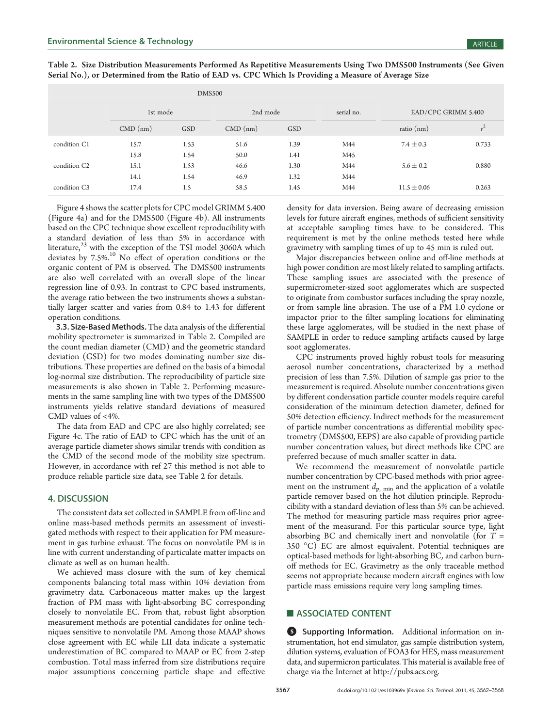| Table 2. Size Distribution Measurements Performed As Repetitive Measurements Using Two DMS500 Instruments (See Given |  |
|----------------------------------------------------------------------------------------------------------------------|--|
| Serial No.), or Determined from the Ratio of EAD vs. CPC Which Is Providing a Measure of Average Size                |  |

| <b>DMS500</b>            |            |      |            |            |            |                     |       |
|--------------------------|------------|------|------------|------------|------------|---------------------|-------|
|                          | 1st mode   |      | 2nd mode   |            | serial no. | EAD/CPC GRIMM 5.400 |       |
|                          | $CMD$ (nm) | GSD  | $CMD$ (nm) | <b>GSD</b> |            | ratio $(nm)$        |       |
| condition C1             | 15.7       | 1.53 | 51.6       | 1.39       | M44        | $7.4 \pm 0.3$       | 0.733 |
|                          | 15.8       | 1.54 | 50.0       | 1.41       | M45        |                     |       |
| condition C <sub>2</sub> | 15.1       | 1.53 | 46.6       | 1.30       | M44        | $5.6 \pm 0.2$       | 0.880 |
|                          | 14.1       | 1.54 | 46.9       | 1.32       | M44        |                     |       |
| condition C <sub>3</sub> | 17.4       | 1.5  | 58.5       | 1.45       | M44        | $11.5 \pm 0.06$     | 0.263 |

Figure 4 shows the scatter plots for CPC model GRIMM 5.400 (Figure 4a) and for the DMS500 (Figure 4b). All instruments based on the CPC technique show excellent reproducibility with a standard deviation of less than 5% in accordance with literature,<sup>23</sup> with the exception of the TSI model 3060A which deviates by 7.5%.<sup>10</sup> No effect of operation conditions or the organic content of PM is observed. The DMS500 instruments are also well correlated with an overall slope of the linear regression line of 0.93. In contrast to CPC based instruments, the average ratio between the two instruments shows a substantially larger scatter and varies from 0.84 to 1.43 for different operation conditions.

3.3. Size-Based Methods. The data analysis of the differential mobility spectrometer is summarized in Table 2. Compiled are the count median diameter (CMD) and the geometric standard deviation (GSD) for two modes dominating number size distributions. These properties are defined on the basis of a bimodal log-normal size distribution. The reproducibility of particle size measurements is also shown in Table 2. Performing measurements in the same sampling line with two types of the DMS500 instruments yields relative standard deviations of measured CMD values of <4%.

The data from EAD and CPC are also highly correlated; see Figure 4c. The ratio of EAD to CPC which has the unit of an average particle diameter shows similar trends with condition as the CMD of the second mode of the mobility size spectrum. However, in accordance with ref 27 this method is not able to produce reliable particle size data, see Table 2 for details.

## 4. DISCUSSION

The consistent data set collected in SAMPLE from off-line and online mass-based methods permits an assessment of investigated methods with respect to their application for PM measurement in gas turbine exhaust. The focus on nonvolatile PM is in line with current understanding of particulate matter impacts on climate as well as on human health.

We achieved mass closure with the sum of key chemical components balancing total mass within 10% deviation from gravimetry data. Carbonaceous matter makes up the largest fraction of PM mass with light-absorbing BC corresponding closely to nonvolatile EC. From that, robust light absorption measurement methods are potential candidates for online techniques sensitive to nonvolatile PM. Among those MAAP shows close agreement with EC while LII data indicate a systematic underestimation of BC compared to MAAP or EC from 2-step combustion. Total mass inferred from size distributions require major assumptions concerning particle shape and effective

density for data inversion. Being aware of decreasing emission levels for future aircraft engines, methods of sufficient sensitivity at acceptable sampling times have to be considered. This requirement is met by the online methods tested here while gravimetry with sampling times of up to 45 min is ruled out.

Major discrepancies between online and off-line methods at high power condition are most likely related to sampling artifacts. These sampling issues are associated with the presence of supermicrometer-sized soot agglomerates which are suspected to originate from combustor surfaces including the spray nozzle, or from sample line abrasion. The use of a PM 1.0 cyclone or impactor prior to the filter sampling locations for eliminating these large agglomerates, will be studied in the next phase of SAMPLE in order to reduce sampling artifacts caused by large soot agglomerates.

CPC instruments proved highly robust tools for measuring aerosol number concentrations, characterized by a method precision of less than 7.5%. Dilution of sample gas prior to the measurement is required. Absolute number concentrations given by different condensation particle counter models require careful consideration of the minimum detection diameter, defined for 50% detection efficiency. Indirect methods for the measurement of particle number concentrations as differential mobility spectrometry (DMS500, EEPS) are also capable of providing particle number concentration values, but direct methods like CPC are preferred because of much smaller scatter in data.

We recommend the measurement of nonvolatile particle number concentration by CPC-based methods with prior agreement on the instrument  $d_{p, min}$  and the application of a volatile particle remover based on the hot dilution principle. Reproducibility with a standard deviation of less than 5% can be achieved. The method for measuring particle mass requires prior agreement of the measurand. For this particular source type, light absorbing BC and chemically inert and nonvolatile (for  $T =$ 350 °C) EC are almost equivalent. Potential techniques are optical-based methods for light-absorbing BC, and carbon burnoff methods for EC. Gravimetry as the only traceable method seems not appropriate because modern aircraft engines with low particle mass emissions require very long sampling times.

# **ASSOCIATED CONTENT**

**6** Supporting Information. Additional information on instrumentation, hot end simulator, gas sample distribution system, dilution systems, evaluation of FOA3 for HES, mass measurement data, and supermicron particulates. This material is available free of charge via the Internet at http://pubs.acs.org.